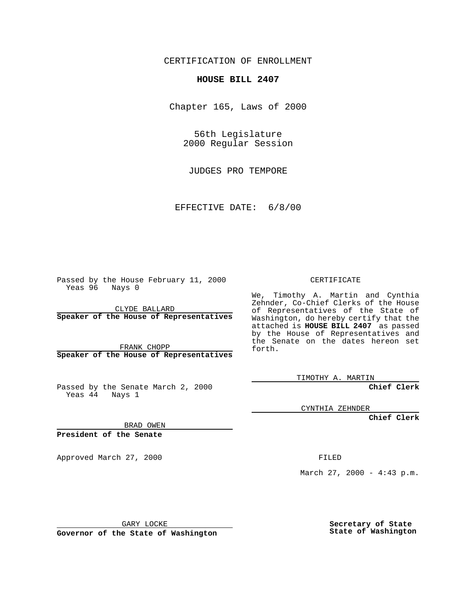## CERTIFICATION OF ENROLLMENT

## **HOUSE BILL 2407**

Chapter 165, Laws of 2000

56th Legislature 2000 Regular Session

JUDGES PRO TEMPORE

EFFECTIVE DATE: 6/8/00

Passed by the House February 11, 2000 Yeas 96 Nays 0

CLYDE BALLARD **Speaker of the House of Representatives**

FRANK CHOPP **Speaker of the House of Representatives**

Passed by the Senate March 2, 2000 Yeas  $4\overline{4}$  Nays 1

CERTIFICATE

We, Timothy A. Martin and Cynthia Zehnder, Co-Chief Clerks of the House of Representatives of the State of Washington, do hereby certify that the attached is **HOUSE BILL 2407** as passed by the House of Representatives and the Senate on the dates hereon set forth.

TIMOTHY A. MARTIN

**Chief Clerk**

CYNTHIA ZEHNDER

**Chief Clerk**

BRAD OWEN

**President of the Senate**

Approved March 27, 2000 FILED

March 27, 2000 - 4:43 p.m.

GARY LOCKE

**Governor of the State of Washington**

**Secretary of State State of Washington**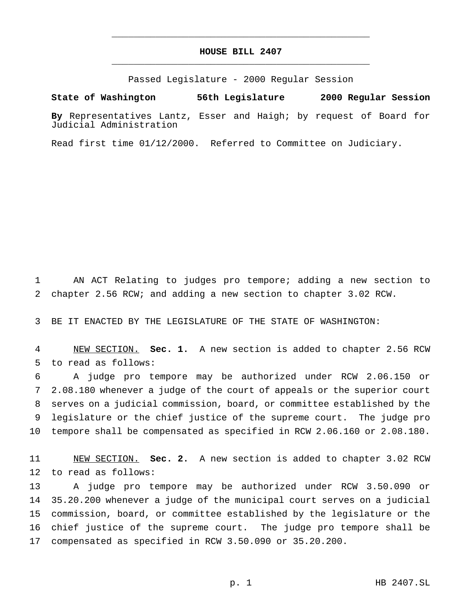## **HOUSE BILL 2407** \_\_\_\_\_\_\_\_\_\_\_\_\_\_\_\_\_\_\_\_\_\_\_\_\_\_\_\_\_\_\_\_\_\_\_\_\_\_\_\_\_\_\_\_\_\_\_

\_\_\_\_\_\_\_\_\_\_\_\_\_\_\_\_\_\_\_\_\_\_\_\_\_\_\_\_\_\_\_\_\_\_\_\_\_\_\_\_\_\_\_\_\_\_\_

Passed Legislature - 2000 Regular Session

**State of Washington 56th Legislature 2000 Regular Session**

**By** Representatives Lantz, Esser and Haigh; by request of Board for Judicial Administration

Read first time 01/12/2000. Referred to Committee on Judiciary.

 AN ACT Relating to judges pro tempore; adding a new section to chapter 2.56 RCW; and adding a new section to chapter 3.02 RCW.

BE IT ENACTED BY THE LEGISLATURE OF THE STATE OF WASHINGTON:

 NEW SECTION. **Sec. 1.** A new section is added to chapter 2.56 RCW to read as follows:

 A judge pro tempore may be authorized under RCW 2.06.150 or 2.08.180 whenever a judge of the court of appeals or the superior court serves on a judicial commission, board, or committee established by the legislature or the chief justice of the supreme court. The judge pro tempore shall be compensated as specified in RCW 2.06.160 or 2.08.180.

 NEW SECTION. **Sec. 2.** A new section is added to chapter 3.02 RCW to read as follows:

 A judge pro tempore may be authorized under RCW 3.50.090 or 35.20.200 whenever a judge of the municipal court serves on a judicial commission, board, or committee established by the legislature or the chief justice of the supreme court. The judge pro tempore shall be compensated as specified in RCW 3.50.090 or 35.20.200.